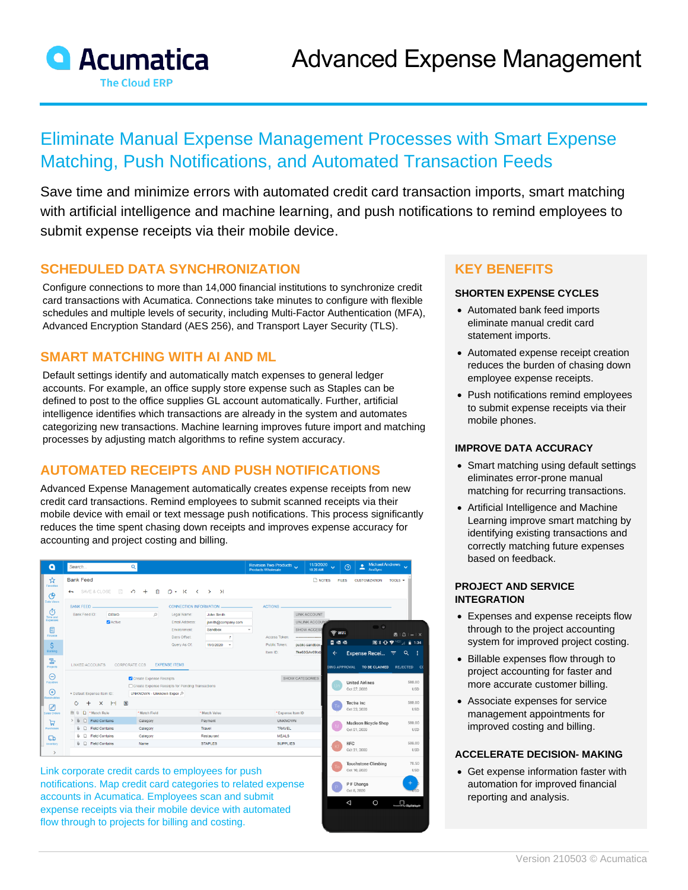

# Eliminate Manual Expense Management Processes with Smart Expense Matching, Push Notifications, and Automated Transaction Feeds

Save time and minimize errors with automated credit card transaction imports, smart matching with artificial intelligence and machine learning, and push notifications to remind employees to submit expense receipts via their mobile device.

> Oct 10, 2020 P F Changs

### **SCHEDULED DATA SYNCHRONIZATION**

Configure connections to more than 14,000 financial institutions to synchronize credit card transactions with Acumatica. Connections take minutes to configure with flexible schedules and multiple levels of security, including Multi-Factor Authentication (MFA), Advanced Encryption Standard (AES 256), and Transport Layer Security (TLS).

### **SMART MATCHING WITH AI AND ML**

Default settings identify and automatically match expenses to general ledger accounts. For example, an office supply store expense such as Staples can be defined to post to the office supplies GL account automatically. Further, artificial intelligence identifies which transactions are already in the system and automates categorizing new transactions. Machine learning improves future import and matching processes by adjusting match algorithms to refine system accuracy.

## **AUTOMATED RECEIPTS AND PUSH NOTIFICATIONS**

Advanced Expense Management automatically creates expense receipts from new credit card transactions. Remind employees to submit scanned receipts via their mobile device with email or text message push notifications. This process significantly reduces the time spent chasing down receipts and improves expense accuracy for accounting and project costing and billing.

| ٥                                                                                                 | Search                                                                                                                                                                                                                                                                                                       |                                                 | $\alpha$ |                                                                                                                                  |                                                                                                        |  | Revision Two Products<br>Products Wholesale                  |                                                                                       | 11/3/2020<br>10:28 AM | $\ddotmark$                                                                | $\odot$                    | <b>Michael Andrews</b><br>٠<br>č<br>AcuSync        |                      |                                                                                     |  |
|---------------------------------------------------------------------------------------------------|--------------------------------------------------------------------------------------------------------------------------------------------------------------------------------------------------------------------------------------------------------------------------------------------------------------|-------------------------------------------------|----------|----------------------------------------------------------------------------------------------------------------------------------|--------------------------------------------------------------------------------------------------------|--|--------------------------------------------------------------|---------------------------------------------------------------------------------------|-----------------------|----------------------------------------------------------------------------|----------------------------|----------------------------------------------------|----------------------|-------------------------------------------------------------------------------------|--|
| ☆<br>Favorites<br>ල                                                                               | <b>Bank Feed</b><br>SAVE & CLOSE<br>$\leftarrow$                                                                                                                                                                                                                                                             | 日<br>$\Omega$                                   |          | <b>NOTES</b><br><b>FILES</b><br>TOOLS $\sim$<br><b>CUSTOMIZATION</b>                                                             |                                                                                                        |  |                                                              |                                                                                       |                       |                                                                            |                            |                                                    |                      |                                                                                     |  |
| <b>Data Vieurs</b><br>Φ<br>Time and<br>Expenses<br>而<br>Finance<br>\$<br>Banking<br>물<br>Projects | <b>BANK FEED</b><br>Bank Feed ID:<br><b>LINKED ACCOUNTS</b>                                                                                                                                                                                                                                                  | <b>DEMO</b><br><b>Z</b> Active<br>CORPORATE CCS | $\circ$  | CONNECTION INFORMATION.<br>Legal Name:<br>Email Address:<br>Environment:<br>Days Offset:<br>Query As Of:<br><b>EXPENSE ITEMS</b> | John Smith<br>jsmith@company.com<br>Sandbox<br>$\overline{7}$<br>11/3/2020<br>$\overline{\phantom{a}}$ |  | <b>ACTIONS</b><br>Access Token:<br>Public Token:<br>Item ID: | LINK ACCOUNT<br>UNLINK ACCOUNT<br>SHOW ACCESS<br><br>public-sandbox-<br>7ke68GAv69txb |                       | $\widehat{\mathbb{R}}$ Wifi<br>日眠眠<br>$\leftarrow$<br><b>DING APPROVAL</b> |                            | $\bullet$<br><b>Expense Recei</b><br>TO BE CLAIMED | 医                    | $\mathbf{B} \mid \Delta \mid - \mid$<br>图米亚罗 "啊……"12<br>$\alpha$<br><b>REJECTED</b> |  |
| Θ<br>Payables<br>$^\circledR$<br>Receivables                                                      | Create Expense Receipts<br>Create Expense Receipts for Pending Transactions<br>UNKNOWN - Unknown Exper O<br>* Default Expense Item ID:                                                                                                                                                                       |                                                 |          |                                                                                                                                  |                                                                                                        |  | SHOW CATEGORIES                                              |                                                                                       |                       | Oct 27, 2020                                                               | <b>United Airlines</b>     |                                                    | 500.00<br><b>USD</b> |                                                                                     |  |
| $\varnothing$<br>Sales Orders                                                                     | $\left  \left  \cdot \right  \right $ $\left  \mathbf{x} \right $<br>$\times$<br>O<br>÷<br>D *Match Rule<br>80<br>*Match Field<br><b>D</b> Field Contains<br>> 0<br>Category<br>$\mathbb{G}$ $\Box$ Field Contains<br>Category<br><b>0</b> □ Field Contains<br>Category<br><b>0</b> □ Field Contains<br>Name |                                                 |          | *Match Value                                                                                                                     |                                                                                                        |  | *Expense Item ID                                             |                                                                                       |                       | Te                                                                         |                            | <b>Tectra</b> Inc.<br>Oct 22, 2020                 |                      | 500.00<br><b>USD</b>                                                                |  |
| ਥ<br>Purchases                                                                                    |                                                                                                                                                                                                                                                                                                              |                                                 |          |                                                                                                                                  | Payment<br>Travel                                                                                      |  |                                                              | <b>UNKNOWN</b><br><b>TRAVEL</b>                                                       |                       |                                                                            | Oct 21, 2020               | Madison Bicycle Shop                               |                      | 500.00<br><b>USD</b>                                                                |  |
| ದಾ<br>Inventory<br>$\rightarrow$                                                                  |                                                                                                                                                                                                                                                                                                              |                                                 |          | Restaurant<br><b>STAPLES</b>                                                                                                     |                                                                                                        |  | <b>MEALS</b><br><b>SUPPLIES</b>                              |                                                                                       |                       |                                                                            | <b>KFC</b><br>Oct 21, 2020 |                                                    |                      | 500.00<br><b>USE</b>                                                                |  |
|                                                                                                   |                                                                                                                                                                                                                                                                                                              |                                                 |          |                                                                                                                                  |                                                                                                        |  |                                                              |                                                                                       |                       |                                                                            |                            | Touchstone Climbing                                |                      | 78.50                                                                               |  |

Link corporate credit cards to employees for push notifications. Map credit card categories to related expense accounts in Acumatica. Employees scan and submit expense receipts via their mobile device with automated flow through to projects for billing and costing.

### **KEY BENEFITS**

#### **SHORTEN EXPENSE CYCLES**

- Automated bank feed imports eliminate manual credit card statement imports.
- Automated expense receipt creation reduces the burden of chasing down employee expense receipts.
- Push notifications remind employees to submit expense receipts via their mobile phones.

#### **IMPROVE DATA ACCURACY**

- Smart matching using default settings eliminates error-prone manual matching for recurring transactions.
- Artificial Intelligence and Machine Learning improve smart matching by identifying existing transactions and correctly matching future expenses based on feedback.

#### **PROJECT AND SERVICE INTEGRATION**

- Expenses and expense receipts flow through to the project accounting system for improved project costing.
- Billable expenses flow through to project accounting for faster and more accurate customer billing.
- Associate expenses for service management appointments for improved costing and billing.

#### **ACCELERATE DECISION- MAKING**

• Get expense information faster with automation for improved financial reporting and analysis.